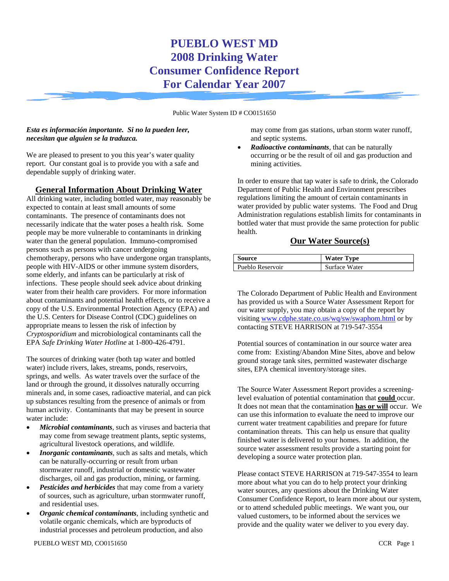# **PUEBLO WEST MD 2008 Drinking Water Consumer Confidence Report For Calendar Year 2007**

Public Water System ID # CO0151650

#### *Esta es información importante. Si no la pueden leer, necesitan que alguien se la traduzca.*

We are pleased to present to you this year's water quality report. Our constant goal is to provide you with a safe and dependable supply of drinking water.

## **General Information About Drinking Water**

All drinking water, including bottled water, may reasonably be expected to contain at least small amounts of some contaminants. The presence of contaminants does not necessarily indicate that the water poses a health risk. Some people may be more vulnerable to contaminants in drinking water than the general population. Immuno-compromised persons such as persons with cancer undergoing chemotherapy, persons who have undergone organ transplants, people with HIV-AIDS or other immune system disorders, some elderly, and infants can be particularly at risk of infections. These people should seek advice about drinking water from their health care providers. For more information about contaminants and potential health effects, or to receive a copy of the U.S. Environmental Protection Agency (EPA) and the U.S. Centers for Disease Control (CDC) guidelines on appropriate means to lessen the risk of infection by *Cryptosporidium* and microbiological contaminants call the EPA *Safe Drinking Water Hotline* at 1-800-426-4791.

The sources of drinking water (both tap water and bottled water) include rivers, lakes, streams, ponds, reservoirs, springs, and wells. As water travels over the surface of the land or through the ground, it dissolves naturally occurring minerals and, in some cases, radioactive material, and can pick up substances resulting from the presence of animals or from human activity. Contaminants that may be present in source water include:

- *Microbial contaminants,* such as viruses and bacteria that may come from sewage treatment plants, septic systems, agricultural livestock operations, and wildlife*.*
- *Inorganic contaminants*, such as salts and metals, which can be naturally-occurring or result from urban stormwater runoff, industrial or domestic wastewater discharges, oil and gas production, mining, or farming.
- **Pesticides and herbicides** that may come from a variety of sources, such as agriculture, urban stormwater runoff, and residential uses.
- *Organic chemical contaminants,* including synthetic and volatile organic chemicals, which are byproducts of industrial processes and petroleum production, and also

may come from gas stations, urban storm water runoff, and septic systems.

• *Radioactive contaminants,* that can be naturally occurring or be the result of oil and gas production and mining activities.

In order to ensure that tap water is safe to drink, the Colorado Department of Public Health and Environment prescribes regulations limiting the amount of certain contaminants in water provided by public water systems. The Food and Drug Administration regulations establish limits for contaminants in bottled water that must provide the same protection for public health.

## **Our Water Source(s)**

| Source           | <b>Water Type</b> |
|------------------|-------------------|
| Pueblo Reservoir | Surface Water     |

The Colorado Department of Public Health and Environment has provided us with a Source Water Assessment Report for our water supply, you may obtain a copy of the report by visiting [www.cdphe.state.co.us/wq/sw/swaphom.html](http://www.cdphe.state.co.us/wq/sw/swaphom.html) or by contacting STEVE HARRISON at 719-547-3554

Potential sources of contamination in our source water area come from: Existing/Abandon Mine Sites, above and below ground storage tank sites, permitted wastewater discharge sites, EPA chemical inventory/storage sites.

The Source Water Assessment Report provides a screeninglevel evaluation of potential contamination that **could** occur. It does not mean that the contamination **has or will** occur. We can use this information to evaluate the need to improve our current water treatment capabilities and prepare for future contamination threats. This can help us ensure that quality finished water is delivered to your homes. In addition, the source water assessment results provide a starting point for developing a source water protection plan.

Please contact STEVE HARRISON at 719-547-3554 to learn more about what you can do to help protect your drinking water sources, any questions about the Drinking Water Consumer Confidence Report, to learn more about our system, or to attend scheduled public meetings. We want you, our valued customers, to be informed about the services we provide and the quality water we deliver to you every day.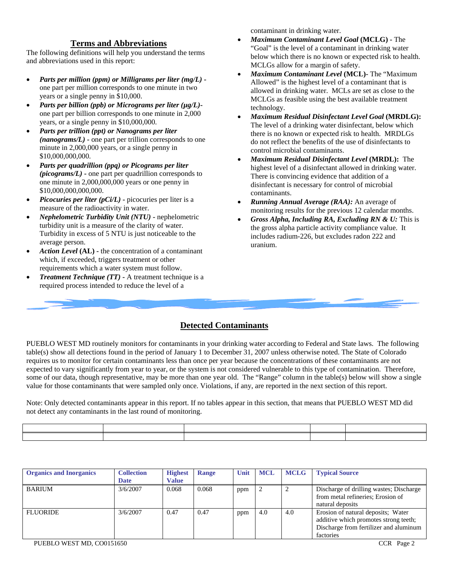#### **Terms and Abbreviations**

The following definitions will help you understand the terms and abbreviations used in this report:

- *Parts per million (ppm) or Milligrams per liter (mg/L)* one part per million corresponds to one minute in two years or a single penny in \$10,000.
- *Parts per billion (ppb) or Micrograms per liter (µg/L)* one part per billion corresponds to one minute in 2,000 years, or a single penny in \$10,000,000.
- *Parts per trillion (ppt) or Nanograms per liter (nanograms/L)* **-** one part per trillion corresponds to one minute in 2,000,000 years, or a single penny in \$10,000,000,000.
- *Parts per quadrillion (ppq) or Picograms per liter (picograms/L)* **-** one part per quadrillion corresponds to one minute in 2,000,000,000 years or one penny in \$10,000,000,000,000.
- *Picocuries per liter (pCi/L)* **-** picocuries per liter is a measure of the radioactivity in water.
- *Nephelometric Turbidity Unit (NTU)* **-** nephelometric turbidity unit is a measure of the clarity of water. Turbidity in excess of 5 NTU is just noticeable to the average person.
- *Action Level* **(AL) -** the concentration of a contaminant which, if exceeded, triggers treatment or other requirements which a water system must follow.
- *Treatment Technique (TT)* **-** A treatment technique is a required process intended to reduce the level of a

contaminant in drinking water.

- *Maximum Contaminant Level Goal* **(MCLG) -** The "Goal" is the level of a contaminant in drinking water below which there is no known or expected risk to health. MCLGs allow for a margin of safety.
- *Maximum Contaminant Level* **(MCL)-** The "Maximum Allowed" is the highest level of a contaminant that is allowed in drinking water. MCLs are set as close to the MCLGs as feasible using the best available treatment technology.
- *Maximum Residual Disinfectant Level Goal* **(MRDLG):** The level of a drinking water disinfectant, below which there is no known or expected risk to health. MRDLGs do not reflect the benefits of the use of disinfectants to control microbial contaminants.
- *Maximum Residual Disinfectant Level* **(MRDL):** The highest level of a disinfectant allowed in drinking water. There is convincing evidence that addition of a disinfectant is necessary for control of microbial contaminants.
- *Running Annual Average (RAA):* An average of monitoring results for the previous 12 calendar months.
- *Gross Alpha, Including RA, Excluding RN & U:* This is the gross alpha particle activity compliance value. It includes radium-226, but excludes radon 222 and uranium.

## **Detected Contaminants**

PUEBLO WEST MD routinely monitors for contaminants in your drinking water according to Federal and State laws. The following table(s) show all detections found in the period of January 1 to December 31, 2007 unless otherwise noted. The State of Colorado requires us to monitor for certain contaminants less than once per year because the concentrations of these contaminants are not expected to vary significantly from year to year, or the system is not considered vulnerable to this type of contamination. Therefore, some of our data, though representative, may be more than one year old. The "Range" column in the table(s) below will show a single value for those contaminants that were sampled only once. Violations, if any, are reported in the next section of this report.

Note: Only detected contaminants appear in this report. If no tables appear in this section, that means that PUEBLO WEST MD did not detect any contaminants in the last round of monitoring.

| <b>Organics and Inorganics</b> | <b>Collection</b><br><b>Date</b> | <b>Highest</b><br><b>Value</b> | <b>Range</b> | Unit | MCL | <b>MCLG</b> | <b>Typical Source</b>                                                                                                              |
|--------------------------------|----------------------------------|--------------------------------|--------------|------|-----|-------------|------------------------------------------------------------------------------------------------------------------------------------|
| <b>BARIUM</b>                  | 3/6/2007                         | 0.068                          | 0.068        | ppm  |     |             | Discharge of drilling wastes; Discharge<br>from metal refineries; Erosion of<br>natural deposits                                   |
| <b>FLUORIDE</b>                | 3/6/2007                         | 0.47                           | 0.47         | ppm  | 4.0 | 4.0         | Erosion of natural deposits; Water<br>additive which promotes strong teeth;<br>Discharge from fertilizer and aluminum<br>factories |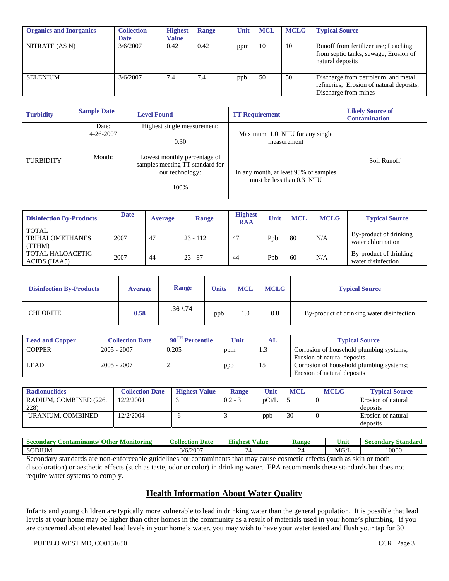| <b>Organics and Inorganics</b> | <b>Collection</b><br><b>Date</b> | <b>Highest</b><br><b>Value</b> | Range | Unit | <b>MCL</b> | <b>MCLG</b> | <b>Typical Source</b>                                                                                  |
|--------------------------------|----------------------------------|--------------------------------|-------|------|------------|-------------|--------------------------------------------------------------------------------------------------------|
| NITRATE (AS N)                 | 3/6/2007                         | 0.42                           | 0.42  | ppm  | 10         | 10          | Runoff from fertilizer use; Leaching<br>from septic tanks, sewage; Erosion of<br>natural deposits      |
| <b>SELENIUM</b>                | 3/6/2007                         | 7.4                            | 7.4   | ppb  | 50         | 50          | Discharge from petroleum and metal<br>refineries: Erosion of natural deposits:<br>Discharge from mines |

| <b>Turbidity</b> | <b>Sample Date</b> | <b>Level Found</b>                                                                         | <b>TT Requirement</b>                                              | <b>Likely Source of</b><br><b>Contamination</b> |
|------------------|--------------------|--------------------------------------------------------------------------------------------|--------------------------------------------------------------------|-------------------------------------------------|
|                  | Date:<br>4-26-2007 | Highest single measurement:<br>0.30                                                        | Maximum 1.0 NTU for any single<br>measurement                      |                                                 |
| <b>TURBIDITY</b> | Month:             | Lowest monthly percentage of<br>samples meeting TT standard for<br>our technology:<br>100% | In any month, at least 95% of samples<br>must be less than 0.3 NTU | Soil Runoff                                     |

| <b>Disinfection By-Products</b>                  | <b>Date</b> | <b>Average</b> | <b>Range</b> | <b>Highest</b><br><b>RAA</b> | Unit | <b>MCL</b> | <b>MCLG</b> | <b>Typical Source</b>                        |
|--------------------------------------------------|-------------|----------------|--------------|------------------------------|------|------------|-------------|----------------------------------------------|
| <b>TOTAL</b><br><b>TRIHALOMETHANES</b><br>(TTHM) | 2007        | 47             | $23 - 112$   | 47                           | Ppb  | 80         | N/A         | By-product of drinking<br>water chlorination |
| <b>TOTAL HALOACETIC</b><br>ACIDS (HAA5)          | 2007        | 44             | $23 - 87$    | 44                           | Ppb  | 60         | N/A         | By-product of drinking<br>water disinfection |

| <b>Disinfection By-Products</b> | <b>Average</b> | Range     | <b>Units</b> | <b>MCL</b> | <b>MCLG</b> | <b>Typical Source</b>                     |
|---------------------------------|----------------|-----------|--------------|------------|-------------|-------------------------------------------|
| <b>CHLORITE</b>                 | 0.58           | .36 / .74 | ppb          | 1.0        | 0.8         | By-product of drinking water disinfection |

| <b>Lead and Copper</b> | <b>Collection Date</b> | $90^{\text{TH}}$ Percentile | Unit | AL. | <b>Typical Source</b>                    |
|------------------------|------------------------|-----------------------------|------|-----|------------------------------------------|
| <b>COPPER</b>          | $2005 - 2007$          | 0.205                       | ppm  | 1.3 | Corrosion of household plumbing systems; |
|                        |                        |                             |      |     | Erosion of natural deposits.             |
| <b>LEAD</b>            | $2005 - 2007$          |                             | ppb  |     | Corrosion of household plumbing systems; |
|                        |                        |                             |      |     | Erosion of natural deposits              |

| <b>Radionuclides</b>           | <b>Collection Date</b> | <b>Highest Value</b> | Range     | Unit  | MCL | <b>MCLG</b> | <b>Typical Source</b>          |
|--------------------------------|------------------------|----------------------|-----------|-------|-----|-------------|--------------------------------|
| RADIUM, COMBINED (226.<br>228) | 12/2/2004              |                      | $0.2 - 3$ | pCi/L |     |             | Erosion of natural<br>deposits |
| URANIUM. COMBINED              | 12/2/2004              |                      |           | ppb   | 30  |             | Erosion of natural<br>deposits |

| $-0.0000$<br>Jther<br>Monitoring<br>tamınants/<br>.on! | 11<br>Date<br>bollection | <b>STATION</b><br>'alue<br>Highest | <b>Range</b> | --<br>Jmi    | .<br>to:<br>iecondai<br>ыяння |
|--------------------------------------------------------|--------------------------|------------------------------------|--------------|--------------|-------------------------------|
| <b>SODIU'</b><br>IU IVI                                | 3/6/2007                 |                                    |              | $ -$<br>MG/I | 10000                         |

Secondary standards are non-enforceable guidelines for contaminants that may cause cosmetic effects (such as skin or tooth discoloration) or aesthetic effects (such as taste, odor or color) in drinking water. EPA recommends these standards but does not require water systems to comply.

# **Health Information About Water Quality**

Infants and young children are typically more vulnerable to lead in drinking water than the general population. It is possible that lead levels at your home may be higher than other homes in the community as a result of materials used in your home's plumbing. If you are concerned about elevated lead levels in your home's water, you may wish to have your water tested and flush your tap for 30